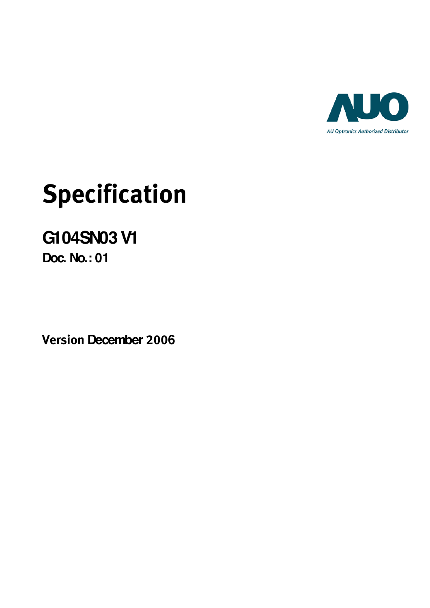

# **Specification**

## **G104SN03 V1**

**Doc. No.: 01**

**Version December 2006**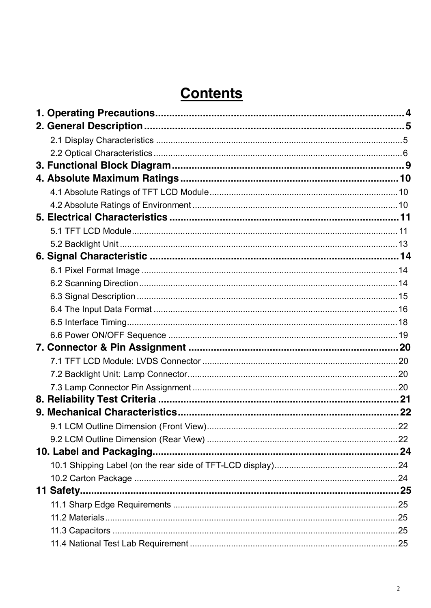## **Contents**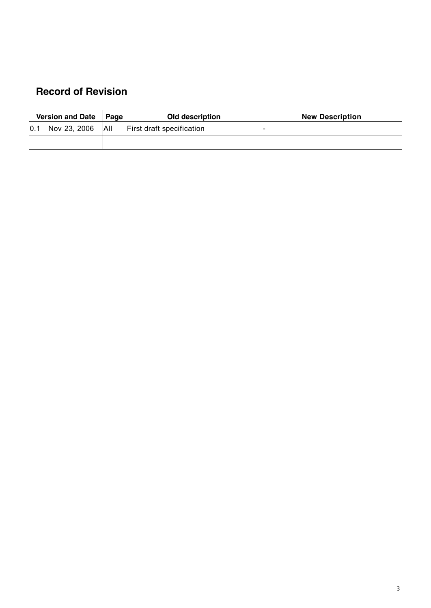## **Record of Revision**

|      | <b>Version and Date</b> | ∣ Page I   | Old description                  | <b>New Description</b> |
|------|-------------------------|------------|----------------------------------|------------------------|
| 10.1 | Nov 23, 2006            | <b>AII</b> | <b>First draft specification</b> |                        |
|      |                         |            |                                  |                        |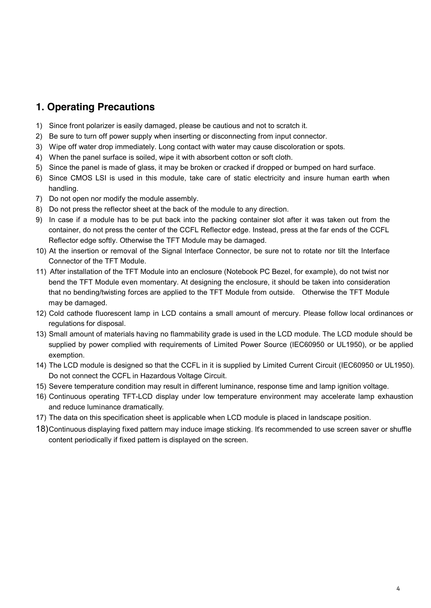## **1. Operating Precautions**

- 1) Since front polarizer is easily damaged, please be cautious and not to scratch it.
- 2) Be sure to turn off power supply when inserting or disconnecting from input connector.
- 3) Wipe off water drop immediately. Long contact with water may cause discoloration or spots.
- 4) When the panel surface is soiled, wipe it with absorbent cotton or soft cloth.
- 5) Since the panel is made of glass, it may be broken or cracked if dropped or bumped on hard surface.
- 6) Since CMOS LSI is used in this module, take care of static electricity and insure human earth when handling.
- 7) Do not open nor modify the module assembly.
- 8) Do not press the reflector sheet at the back of the module to any direction.
- 9) In case if a module has to be put back into the packing container slot after it was taken out from the container, do not press the center of the CCFL Reflector edge. Instead, press at the far ends of the CCFL Reflector edge softly. Otherwise the TFT Module may be damaged.
- 10) At the insertion or removal of the Signal Interface Connector, be sure not to rotate nor tilt the Interface Connector of the TFT Module.
- 11) After installation of the TFT Module into an enclosure (Notebook PC Bezel, for example), do not twist nor bend the TFT Module even momentary. At designing the enclosure, it should be taken into consideration that no bending/twisting forces are applied to the TFT Module from outside. Otherwise the TFT Module may be damaged.
- 12) Cold cathode fluorescent lamp in LCD contains a small amount of mercury. Please follow local ordinances or regulations for disposal.
- 13) Small amount of materials having no flammability grade is used in the LCD module. The LCD module should be supplied by power complied with requirements of Limited Power Source (IEC60950 or UL1950), or be applied exemption.
- 14) The LCD module is designed so that the CCFL in it is supplied by Limited Current Circuit (IEC60950 or UL1950). Do not connect the CCFL in Hazardous Voltage Circuit.
- 15) Severe temperature condition may result in different luminance, response time and lamp ignition voltage.
- 16) Continuous operating TFT-LCD display under low temperature environment may accelerate lamp exhaustion and reduce luminance dramatically.
- 17) The data on this specification sheet is applicable when LCD module is placed in landscape position.
- 18) Continuous displaying fixed pattern may induce image sticking. It's recommended to use screen saver or shuffle content periodically if fixed pattern is displayed on the screen.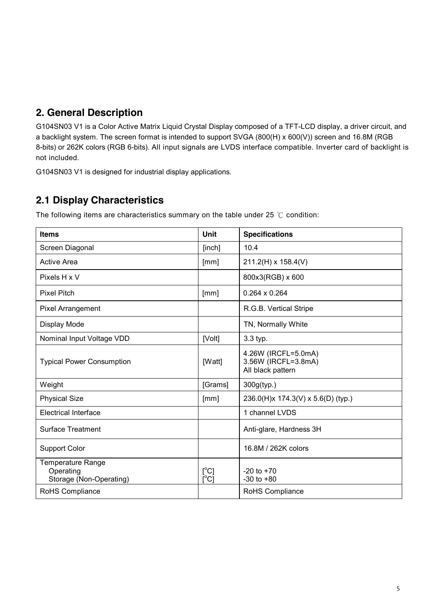## **2. General Description**

G104SN03 V1 is a Color Active Matrix Liquid Crystal Display composed of a TFT-LCD display, a driver circuit, and a backlight system. The screen format is intended to support SVGA (800(H) x 600(V)) screen and 16.8M (RGB 8-bits) or 262K colors (RGB 6-bits). All input signals are LVDS interface compatible. Inverter card of backlight is not included.

G104SN03 V1 is designed for industrial display applications.

## **2.1 Display Characteristics**

The following items are characteristics summary on the table under 25 ℃ condition:

| <b>Items</b>                                              | Unit                                    | <b>Specifications</b>                                           |
|-----------------------------------------------------------|-----------------------------------------|-----------------------------------------------------------------|
| Screen Diagonal                                           | [inch]                                  | 10.4                                                            |
| <b>Active Area</b>                                        | [mm]                                    | 211.2(H) x 158.4(V)                                             |
| Pixels H x V                                              |                                         | 800x3(RGB) x 600                                                |
| <b>Pixel Pitch</b>                                        | [mm]                                    | $0.264 \times 0.264$                                            |
| Pixel Arrangement                                         |                                         | R.G.B. Vertical Stripe                                          |
| Display Mode                                              |                                         | TN, Normally White                                              |
| Nominal Input Voltage VDD                                 | [Volt]                                  | 3.3 typ.                                                        |
| <b>Typical Power Consumption</b>                          | [Watt]                                  | 4.26W (IRCFL=5.0mA)<br>3.56W (IRCFL=3.8mA)<br>All black pattern |
| Weight                                                    | [Grams]                                 | 300g(typ.)                                                      |
| <b>Physical Size</b>                                      | [mm]                                    | 236.0(H)x 174.3(V) x 5.6(D) (typ.)                              |
| <b>Electrical Interface</b>                               |                                         | 1 channel LVDS                                                  |
| <b>Surface Treatment</b>                                  |                                         | Anti-glare, Hardness 3H                                         |
| <b>Support Color</b>                                      |                                         | 16.8M / 262K colors                                             |
| Temperature Range<br>Operating<br>Storage (Non-Operating) | $[^{\circ}C]$<br>$\overline{C}^{\circ}$ | $-20$ to $+70$<br>$-30$ to $+80$                                |
| RoHS Compliance                                           |                                         | RoHS Compliance                                                 |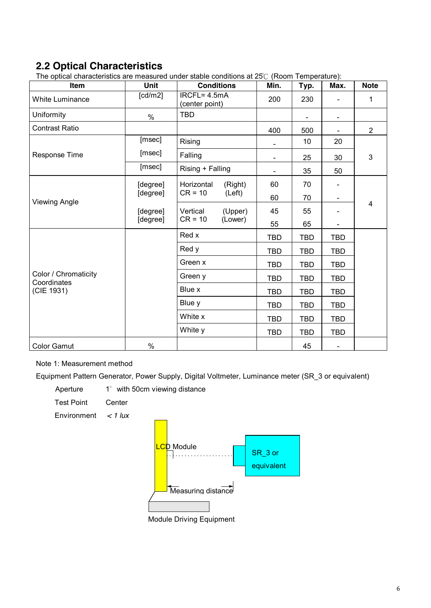## **2.2 Optical Characteristics**

The optical characteristics are measured under stable conditions at 25℃ (Room Temperature):

| Item                                | Unit     | <b>Conditions</b>              | Min.           | Typ.       | Max.           | <b>Note</b>             |  |  |  |  |
|-------------------------------------|----------|--------------------------------|----------------|------------|----------------|-------------------------|--|--|--|--|
| <b>White Luminance</b>              | [cd/m2]  | IRCFL= 4.5mA<br>(center point) | 200            | 230        |                | 1                       |  |  |  |  |
| Uniformity                          | $\%$     | <b>TBD</b>                     |                |            |                |                         |  |  |  |  |
| <b>Contrast Ratio</b>               |          |                                | 400            | 500        |                | $\overline{2}$          |  |  |  |  |
|                                     | [msec]   | Rising                         |                | 10         | 20             |                         |  |  |  |  |
| <b>Response Time</b>                | [msec]   | Falling                        |                | 25         | 30             | 3                       |  |  |  |  |
|                                     | [msec]   | Rising + Falling               | $\blacksquare$ | 35         | 50             |                         |  |  |  |  |
|                                     | [degree] | Horizontal<br>(Right)          | 60             | 70         |                |                         |  |  |  |  |
| <b>Viewing Angle</b>                | [degree] | $CR = 10$<br>(Left)            | 60             | 70         |                |                         |  |  |  |  |
|                                     | [degree] | (Upper)<br>Vertical            |                | 55         |                | $\overline{\mathbf{4}}$ |  |  |  |  |
|                                     | [degree] | $CR = 10$<br>(Lower)           | 55             | 65         |                |                         |  |  |  |  |
|                                     |          | Red x                          | <b>TBD</b>     | <b>TBD</b> | <b>TBD</b>     |                         |  |  |  |  |
|                                     |          | Red y                          | <b>TBD</b>     | <b>TBD</b> | <b>TBD</b>     |                         |  |  |  |  |
|                                     |          | Green x                        | <b>TBD</b>     | <b>TBD</b> | <b>TBD</b>     |                         |  |  |  |  |
| Color / Chromaticity<br>Coordinates |          | Green y                        | TBD            | <b>TBD</b> | <b>TBD</b>     |                         |  |  |  |  |
| (CIE 1931)                          |          | Blue x                         | <b>TBD</b>     | <b>TBD</b> | <b>TBD</b>     |                         |  |  |  |  |
|                                     |          | Blue y                         | <b>TBD</b>     | <b>TBD</b> | <b>TBD</b>     |                         |  |  |  |  |
|                                     |          | White x                        | <b>TBD</b>     | <b>TBD</b> | <b>TBD</b>     |                         |  |  |  |  |
|                                     |          | White y                        | <b>TBD</b>     | <b>TBD</b> | <b>TBD</b>     |                         |  |  |  |  |
| <b>Color Gamut</b>                  | $\%$     |                                |                | 45         | $\blacksquare$ |                         |  |  |  |  |

#### Note 1: Measurement method

Equipment Pattern Generator, Power Supply, Digital Voltmeter, Luminance meter (SR\_3 or equivalent)

| Aperture          | 1° with 50cm viewing distance |
|-------------------|-------------------------------|
| <b>Test Point</b> | Center                        |

Environment *< 1 lux*

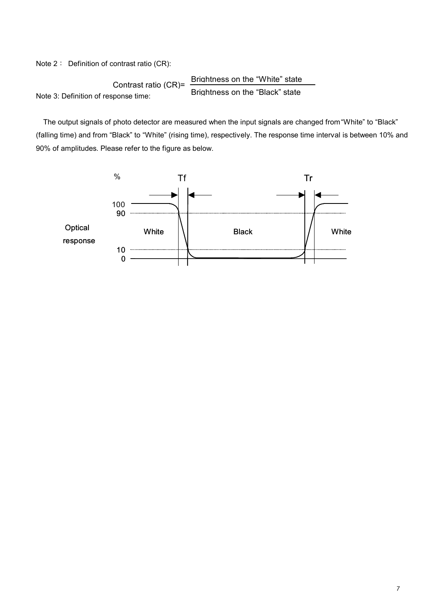Note 2: Definition of contrast ratio (CR):

Contrast ratio (CR) = 
$$
\frac{\text{Brightness on the "White" state}}{\text{Brightness on the "Black" state}}
$$

\nNote 3: Definition of response time:

The output signals of photo detector are measured when the input signals are changed from "White" to "Black" (falling time) and from "Black" to "White" (rising time), respectively. The response time interval is between 10% and 90% of amplitudes. Please refer to the figure as below.

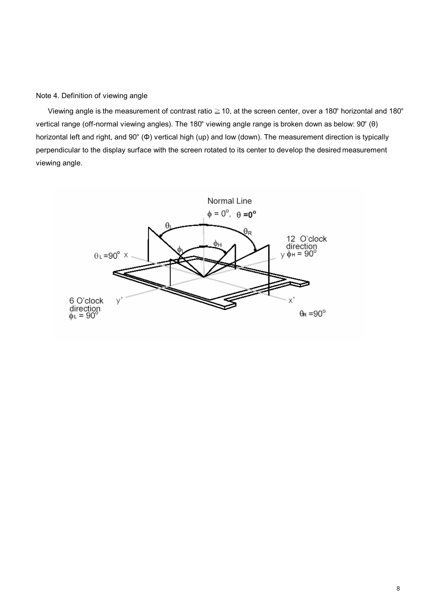#### Note 4. Definition of viewing angle

Viewing angle is the measurement of contrast ratio ≧10, at the screen center, over a 180° horizontal and 180° vertical range (off-normal viewing angles). The 180° viewing angle range is broken down as below: 90° (θ) horizontal left and right, and 90° (Φ) vertical high (up) and low (down). The measurement direction is typically perpendicular to the display surface with the screen rotated to its center to develop the desired measurement viewing angle.

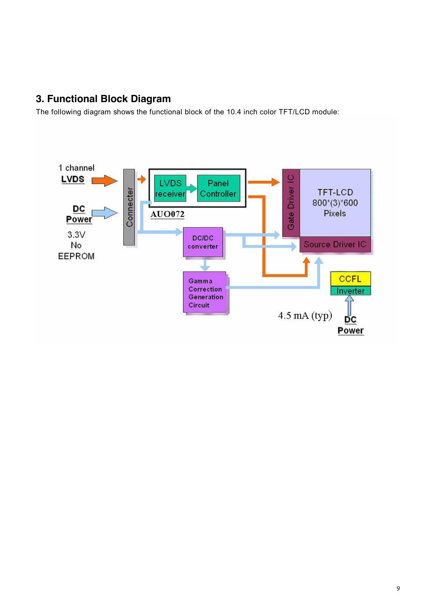## **3. Functional Block Diagram**

The following diagram shows the functional block of the 10.4 inch color TFT/LCD module:

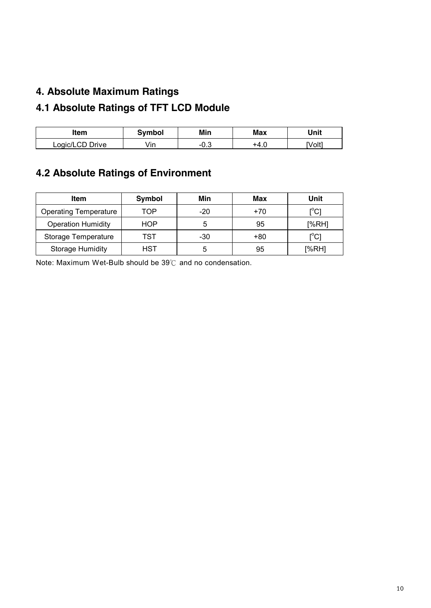## **4. Absolute Maximum Ratings**

## **4.1 Absolute Ratings of TFT LCD Module**

| ltem            | Svmbol | Min       | Max   | Unit   |
|-----------------|--------|-----------|-------|--------|
| Logic/LCD Drive | Vin    | ົ<br>-U.J | י +4. | [Volt] |

## **4.2 Absolute Ratings of Environment**

| Item                         | Symbol | Min   | Max   | Unit                                    |
|------------------------------|--------|-------|-------|-----------------------------------------|
| <b>Operating Temperature</b> | TOP    | $-20$ | $+70$ | $\mathsf{I}^\circ\mathsf{C} \mathsf{I}$ |
| <b>Operation Humidity</b>    | HOP    |       | 95    | [%RH]                                   |
| Storage Temperature          | TST    | -30   | $+80$ | $\mathop{\rm l}{\rm c}{\rm l}$          |
| <b>Storage Humidity</b>      | HST    | 5     | 95    | [%RH]                                   |

Note: Maximum Wet-Bulb should be 39℃ and no condensation.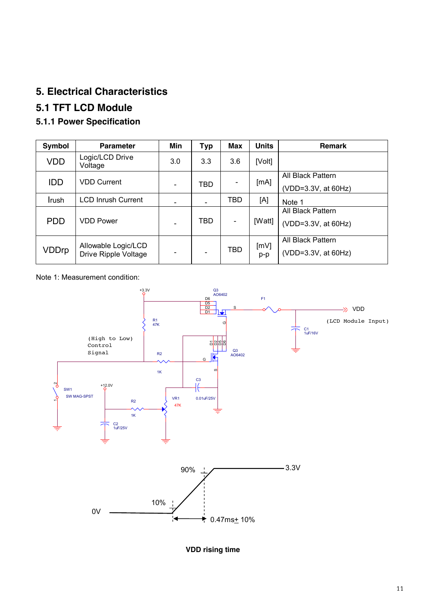## **5. Electrical Characteristics**

## **5.1 TFT LCD Module**

## **5.1.1 Power Specification**

| Symbol     | <b>Parameter</b>                            | Min | <b>Typ</b> | Max        | <b>Units</b>  | <b>Remark</b>                            |
|------------|---------------------------------------------|-----|------------|------------|---------------|------------------------------------------|
| <b>VDD</b> | Logic/LCD Drive<br>Voltage                  | 3.0 | 3.3        | 3.6        | [Volt]        |                                          |
| <b>IDD</b> | <b>VDD Current</b>                          |     | TBD        |            | [mA]          | All Black Pattern<br>(VDD=3.3V, at 60Hz) |
| Irush      | <b>LCD Inrush Current</b>                   |     |            | <b>TBD</b> | [A]           | Note 1                                   |
| <b>PDD</b> | VDD Power                                   |     | TBD        |            | [Watt]        | All Black Pattern<br>(VDD=3.3V, at 60Hz) |
| VDDrp      | Allowable Logic/LCD<br>Drive Ripple Voltage |     |            | <b>TBD</b> | [mV]<br>$p-p$ | All Black Pattern<br>(VDD=3.3V, at 60Hz) |

Note 1: Measurement condition:



**VDD rising time**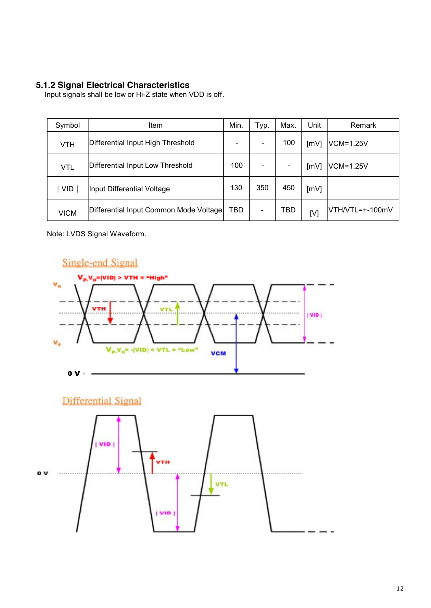#### **5.1.2 Signal Electrical Characteristics**

Input signals shall be low or Hi-Z state when VDD is off.

| Symbol      | <b>Item</b>                            | Min. | Typ. | Max.                     | Unit | Remark           |
|-------------|----------------------------------------|------|------|--------------------------|------|------------------|
| <b>VTH</b>  | Differential Input High Threshold      | ۰    |      | 100                      | [mV] | <b>VCM=1.25V</b> |
| <b>VTL</b>  | Differential Input Low Threshold       | 100  |      | $\overline{\phantom{0}}$ | [mV] | VCM=1.25V        |
| <b>VID</b>  | Input Differential Voltage             | 130  | 350  | 450                      | [mV] |                  |
| <b>VICM</b> | Differential Input Common Mode Voltage | TBD  |      | TBD                      | [V]  | VTH/VTL=+-100mV  |

Note: LVDS Signal Waveform.





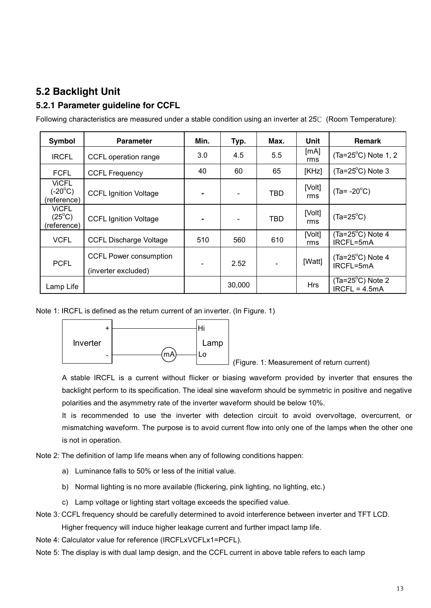## **5.2 Backlight Unit**

#### **5.2.1 Parameter guideline for CCFL**

| Symbol                                         | <b>Parameter</b>                                     | Min. | Typ.   | Max.           | Unit          | <b>Remark</b>                                |
|------------------------------------------------|------------------------------------------------------|------|--------|----------------|---------------|----------------------------------------------|
| <b>IRCFL</b>                                   | CCFL operation range                                 | 3.0  | 4.5    | 5.5            | [mA]<br>rms   | $(Ta=25^{\circ}C)$ Note 1, 2                 |
| <b>FCFL</b>                                    | <b>CCFL Frequency</b>                                | 40   | 60     | 65             | [KHz]         | $(Ta=25^{\circ}C)$ Note 3                    |
| ViCFL<br>$(-20^{\circ}C)$<br>(reference)       | <b>CCFL Ignition Voltage</b>                         |      |        | <b>TBD</b>     | [Volt]<br>rms | $(Ta = -20^{\circ}C)$                        |
| <b>VICFL</b><br>$(25^{\circ}C)$<br>(reference) | <b>CCFL Ignition Voltage</b>                         |      |        | <b>TBD</b>     | [Volt]<br>rms | $(Ta=25^{\circ}C)$                           |
| <b>VCFL</b>                                    | <b>CCFL Discharge Voltage</b>                        | 510  | 560    | 610            | [Volt]<br>rms | $(Ta=25^{\circ}C)$ Note 4<br>IRCFL=5mA       |
| <b>PCFL</b>                                    | <b>CCFL Power consumption</b><br>(inverter excluded) |      | 2.52   | $\blacksquare$ | [Watt]        | $(Ta=25^{\circ}C)$ Note 4<br>IRCFL=5mA       |
| Lamp Life                                      |                                                      |      | 30,000 |                | <b>Hrs</b>    | $(Ta=25^{\circ}C)$ Note 2<br>$IRCFL = 4.5mA$ |

Following characteristics are measured under a stable condition using an inverter at 25℃ (Room Temperature):

Note 1: IRCFL is defined as the return current of an inverter. (In Figure. 1)



(Figure. 1: Measurement of return current)

A stable IRCFL is a current without flicker or biasing waveform provided by inverter that ensures the backlight perform to its specification. The ideal sine waveform should be symmetric in positive and negative polarities and the asymmetry rate of the inverter waveform should be below 10%.

It is recommended to use the inverter with detection circuit to avoid overvoltage, overcurrent, or mismatching waveform. The purpose is to avoid current flow into only one of the lamps when the other one is not in operation.

Note 2: The definition of lamp life means when any of following conditions happen:

- a) Luminance falls to 50% or less of the initial value.
- b) Normal lighting is no more available (flickering, pink lighting, no lighting, etc.)
- c) Lamp voltage or lighting start voltage exceeds the specified value.
- Note 3*:* CCFL frequency should be carefully determined to avoid interference between inverter and TFT LCD.

Higher frequency will induce higher leakage current and further impact lamp life.

- Note 4: Calculator value for reference (IRCFLxVCFLx1=PCFL).
- Note 5: The display is with dual lamp design, and the CCFL current in above table refers to each lamp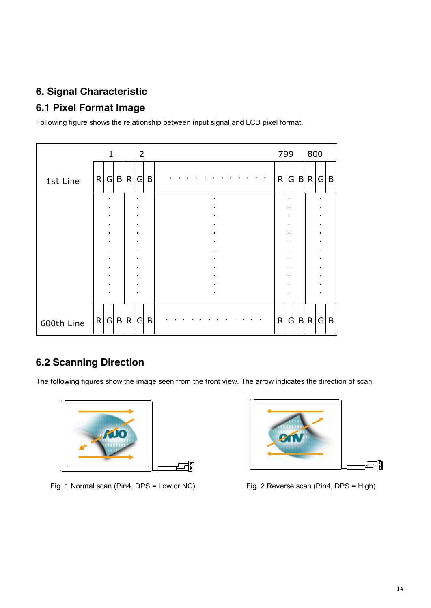## **6. Signal Characteristic**

## **6.1 Pixel Format Image**

Following figure shows the relationship between input signal and LCD pixel format.

|            |   | $\mathbf{1}$   |     | 2                           |   |  |  |                             |  |  |   | 799            |   | 800 |                |   |
|------------|---|----------------|-----|-----------------------------|---|--|--|-----------------------------|--|--|---|----------------|---|-----|----------------|---|
| 1st Line   |   | R G            | B R | G                           | B |  |  |                             |  |  | R | G              |   | B R | G              | B |
|            |   |                |     | ٠                           |   |  |  | $\blacksquare$<br>$\bullet$ |  |  |   |                |   |     |                |   |
|            |   |                |     | $\blacksquare$              |   |  |  |                             |  |  |   |                |   |     |                |   |
|            |   |                |     | $\blacksquare$              |   |  |  | $\blacksquare$              |  |  |   |                |   |     |                |   |
|            |   | $\blacksquare$ |     | $\blacksquare$              |   |  |  | $\blacksquare$              |  |  |   | $\blacksquare$ |   |     | $\blacksquare$ |   |
|            |   |                |     | $\blacksquare$<br>$\bullet$ |   |  |  |                             |  |  |   |                |   |     |                |   |
|            |   |                |     | $\blacksquare$              |   |  |  | $\bullet$                   |  |  |   | $\blacksquare$ |   |     | ٠              |   |
|            |   |                |     | ٠                           |   |  |  | $\blacksquare$              |  |  |   |                |   |     |                |   |
|            |   |                |     | $\bullet$                   |   |  |  |                             |  |  |   |                |   |     |                |   |
|            |   |                |     | $\bullet$                   |   |  |  | $\blacksquare$              |  |  |   |                |   |     |                |   |
|            |   |                |     | $\blacksquare$              |   |  |  | $\blacksquare$              |  |  |   |                |   |     |                |   |
|            |   |                |     |                             |   |  |  |                             |  |  |   |                |   |     |                |   |
| 600th Line | R | G              | B R | G                           | B |  |  |                             |  |  | R | G              | B | R   | G              | B |

## **6.2 Scanning Direction**

The following figures show the image seen from the front view. The arrow indicates the direction of scan.



Fig. 1 Normal scan (Pin4, DPS = Low or NC) Fig. 2 Reverse scan (Pin4, DPS = High)

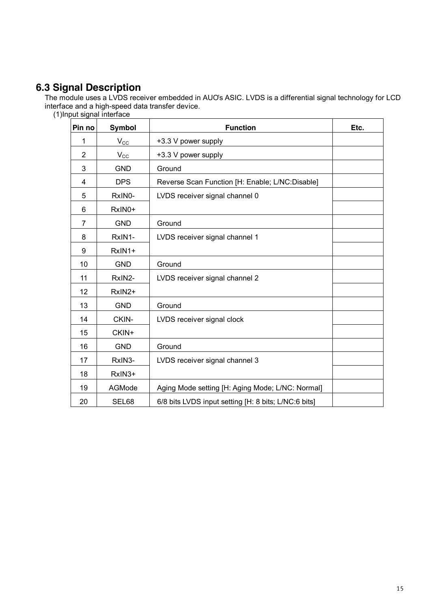## **6.3 Signal Description**

The module uses a LVDS receiver embedded in AUO's ASIC. LVDS is a differential signal technology for LCD interface and a high-speed data transfer device.

|  |  |  | (1)Input signal interface |
|--|--|--|---------------------------|
|--|--|--|---------------------------|

| Pin no         | <b>Symbol</b> | <b>Function</b>                                      | Etc. |
|----------------|---------------|------------------------------------------------------|------|
| 1              | $V_{\rm CC}$  | +3.3 V power supply                                  |      |
| $\overline{2}$ | $V_{\rm CC}$  | +3.3 V power supply                                  |      |
| 3              | <b>GND</b>    | Ground                                               |      |
| 4              | <b>DPS</b>    | Reverse Scan Function [H: Enable; L/NC:Disable]      |      |
| 5              | RxIN0-        | LVDS receiver signal channel 0                       |      |
| 6              | RxIN0+        |                                                      |      |
| 7              | <b>GND</b>    | Ground                                               |      |
| 8              | RxIN1-        | LVDS receiver signal channel 1                       |      |
| 9              | RxIN1+        |                                                      |      |
| 10             | <b>GND</b>    | Ground                                               |      |
| 11             | RxIN2-        | LVDS receiver signal channel 2                       |      |
| 12             | RxIN2+        |                                                      |      |
| 13             | <b>GND</b>    | Ground                                               |      |
| 14             | CKIN-         | LVDS receiver signal clock                           |      |
| 15             | CKIN+         |                                                      |      |
| 16             | <b>GND</b>    | Ground                                               |      |
| 17             | RxIN3-        | LVDS receiver signal channel 3                       |      |
| 18             | RxIN3+        |                                                      |      |
| 19             | AGMode        | Aging Mode setting [H: Aging Mode; L/NC: Normal]     |      |
| 20             | SEL68         | 6/8 bits LVDS input setting [H: 8 bits; L/NC:6 bits] |      |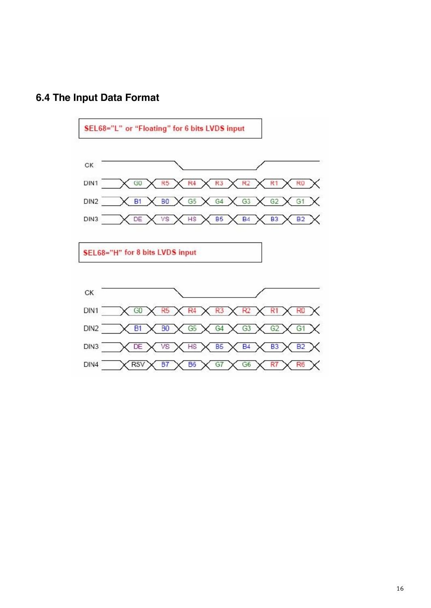

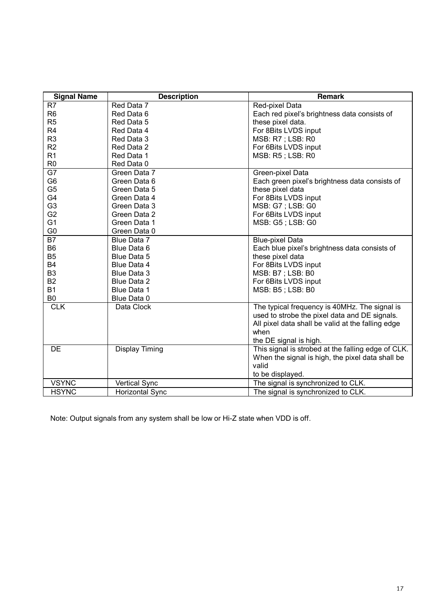| <b>Signal Name</b> | <b>Description</b>     | <b>Remark</b>                                                                                                                                                                         |
|--------------------|------------------------|---------------------------------------------------------------------------------------------------------------------------------------------------------------------------------------|
| R7                 | Red Data 7             | Red-pixel Data                                                                                                                                                                        |
| R <sub>6</sub>     | Red Data 6             | Each red pixel's brightness data consists of                                                                                                                                          |
| R <sub>5</sub>     | Red Data 5             | these pixel data.                                                                                                                                                                     |
| R <sub>4</sub>     | Red Data 4             | For 8Bits LVDS input                                                                                                                                                                  |
| R <sub>3</sub>     | Red Data 3             | MSB: R7 ; LSB: R0                                                                                                                                                                     |
| R <sub>2</sub>     | Red Data 2             | For 6Bits LVDS input                                                                                                                                                                  |
| R <sub>1</sub>     | Red Data 1             | MSB: R5; LSB: R0                                                                                                                                                                      |
| R <sub>0</sub>     | Red Data 0             |                                                                                                                                                                                       |
| G7                 | Green Data 7           | Green-pixel Data                                                                                                                                                                      |
| G <sub>6</sub>     | Green Data 6           | Each green pixel's brightness data consists of                                                                                                                                        |
| G <sub>5</sub>     | Green Data 5           | these pixel data                                                                                                                                                                      |
| G4                 | Green Data 4           | For 8Bits LVDS input                                                                                                                                                                  |
| G <sub>3</sub>     | Green Data 3           | MSB: G7 ; LSB: G0                                                                                                                                                                     |
| G <sub>2</sub>     | Green Data 2           | For 6Bits LVDS input                                                                                                                                                                  |
| G <sub>1</sub>     | Green Data 1           | MSB: G5; LSB: G0                                                                                                                                                                      |
| G <sub>0</sub>     | Green Data 0           |                                                                                                                                                                                       |
| <b>B7</b>          | Blue Data 7            | <b>Blue-pixel Data</b>                                                                                                                                                                |
| B <sub>6</sub>     | Blue Data 6            | Each blue pixel's brightness data consists of                                                                                                                                         |
| B <sub>5</sub>     | Blue Data 5            | these pixel data                                                                                                                                                                      |
| B4                 | Blue Data 4            | For 8Bits LVDS input                                                                                                                                                                  |
| B <sub>3</sub>     | Blue Data 3            | MSB: B7 ; LSB: B0                                                                                                                                                                     |
| <b>B2</b>          | Blue Data 2            | For 6Bits LVDS input                                                                                                                                                                  |
| <b>B1</b>          | Blue Data 1            | MSB: B5; LSB: B0                                                                                                                                                                      |
| B <sub>0</sub>     | Blue Data 0            |                                                                                                                                                                                       |
| <b>CLK</b>         | Data Clock             | The typical frequency is 40MHz. The signal is<br>used to strobe the pixel data and DE signals.<br>All pixel data shall be valid at the falling edge<br>when<br>the DE signal is high. |
| DE                 | <b>Display Timing</b>  | This signal is strobed at the falling edge of CLK.<br>When the signal is high, the pixel data shall be<br>valid<br>to be displayed.                                                   |
| <b>VSYNC</b>       | <b>Vertical Sync</b>   | The signal is synchronized to CLK.                                                                                                                                                    |
| <b>HSYNC</b>       | <b>Horizontal Sync</b> | The signal is synchronized to CLK.                                                                                                                                                    |

Note: Output signals from any system shall be low or Hi-Z state when VDD is off.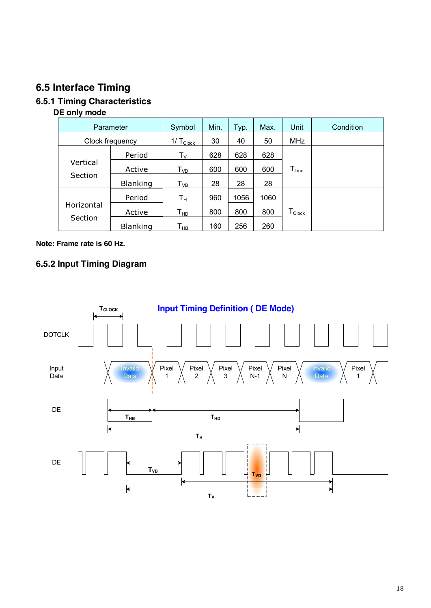## **6.5 Interface Timing**

## **6.5.1 Timing Characteristics**

#### **DE only mode**

| Parameter       |                 | Symbol                      | Min. | Typ. | Max. | Unit                           | Condition |
|-----------------|-----------------|-----------------------------|------|------|------|--------------------------------|-----------|
| Clock frequency |                 | $1/\text{T}_{\text{Clock}}$ | 30   | 40   | 50   | <b>MHz</b>                     |           |
|                 | Period          | $\mathsf{T}_\mathsf{V}$     | 628  | 628  | 628  |                                |           |
| Vertical        | Active          | $\mathsf{T}_{\mathsf{VD}}$  | 600  | 600  | 600  | $T_{Line}$                     |           |
| Section         | <b>Blanking</b> | $T_{VB}$                    | 28   | 28   | 28   |                                |           |
|                 | Period          | $\mathsf{T}_\mathsf{H}$     | 960  | 1056 | 1060 |                                |           |
| Horizontal      | Active          | $\mathsf{T}_{\mathsf{HD}}$  | 800  | 800  | 800  | ${\mathsf T}_{\mathsf{Clock}}$ |           |
| Section         | <b>Blanking</b> | Т <sub>нв</sub>             | 160  | 256  | 260  |                                |           |

#### **Note: Frame rate is 60 Hz.**

## **6.5.2 Input Timing Diagram**

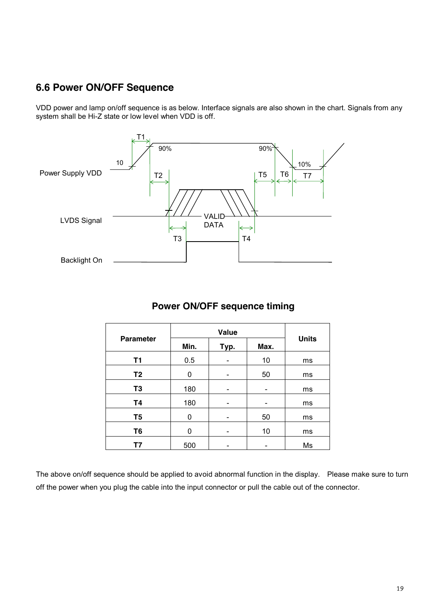## **6.6 Power ON/OFF Sequence**

VDD power and lamp on/off sequence is as below. Interface signals are also shown in the chart. Signals from any system shall be Hi-Z state or low level when VDD is off.



## **Power ON/OFF sequence timing**

| <b>Parameter</b> | Min. | Typ. | Max. | <b>Units</b> |
|------------------|------|------|------|--------------|
| <b>T1</b>        | 0.5  |      | 10   | ms           |
| T <sub>2</sub>   | 0    |      | 50   | ms           |
| T <sub>3</sub>   | 180  |      |      | ms           |
| <b>T4</b>        | 180  |      |      | ms           |
| T <sub>5</sub>   | 0    |      | 50   | ms           |
| T <sub>6</sub>   | 0    |      | 10   | ms           |
| Τ7               | 500  |      |      | Ms           |

The above on/off sequence should be applied to avoid abnormal function in the display. Please make sure to turn off the power when you plug the cable into the input connector or pull the cable out of the connector.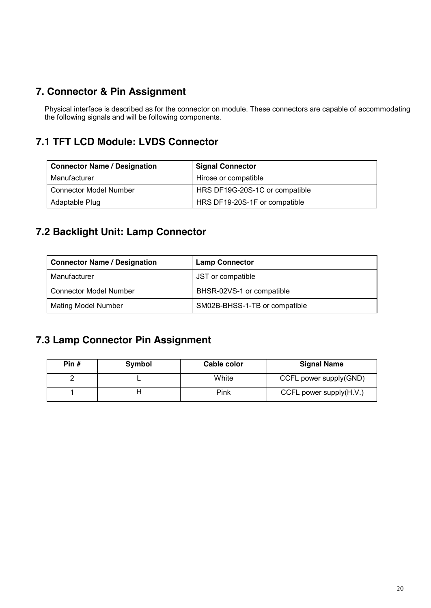## **7. Connector & Pin Assignment**

Physical interface is described as for the connector on module. These connectors are capable of accommodating the following signals and will be following components.

## **7.1 TFT LCD Module: LVDS Connector**

| <b>Connector Name / Designation</b> | <b>Signal Connector</b>        |  |  |
|-------------------------------------|--------------------------------|--|--|
| Manufacturer                        | Hirose or compatible           |  |  |
| <b>Connector Model Number</b>       | HRS DF19G-20S-1C or compatible |  |  |
| Adaptable Plug                      | HRS DF19-20S-1F or compatible  |  |  |

## **7.2 Backlight Unit: Lamp Connector**

| <b>Connector Name / Designation</b> | <b>Lamp Connector</b>         |  |  |
|-------------------------------------|-------------------------------|--|--|
| Manufacturer                        | JST or compatible             |  |  |
| Connector Model Number              | BHSR-02VS-1 or compatible     |  |  |
| Mating Model Number                 | SM02B-BHSS-1-TB or compatible |  |  |

## **7.3 Lamp Connector Pin Assignment**

| Pin $#$ | Symbol | Cable color | <b>Signal Name</b>         |
|---------|--------|-------------|----------------------------|
|         |        | White       | CCFL power supply(GND)     |
|         |        | Pink        | CCFL power supply $(H.V.)$ |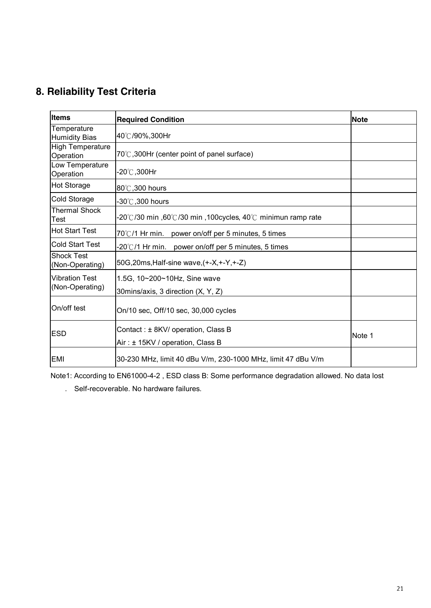## **8. Reliability Test Criteria**

| Items                                    | <b>Required Condition</b>                                              | <b>Note</b> |
|------------------------------------------|------------------------------------------------------------------------|-------------|
| Temperature<br><b>Humidity Bias</b>      | 40℃/90%,300Hr                                                          |             |
| <b>High Temperature</b><br>Operation     | 70°C, 300Hr (center point of panel surface)                            |             |
| Low Temperature<br>Operation             | -20℃,300Hr                                                             |             |
| <b>Hot Storage</b>                       | 80°C, 300 hours                                                        |             |
| Cold Storage                             | $-30^{\circ}$ C, 300 hours                                             |             |
| Thermal Shock<br>Test                    | -20°C/30 min ,60°C/30 min ,100cycles, 40°C minimun ramp rate           |             |
| <b>Hot Start Test</b>                    | $70^{\circ}$ C/1 Hr min.<br>power on/off per 5 minutes, 5 times        |             |
| <b>Cold Start Test</b>                   | -20℃/1 Hr min.<br>power on/off per 5 minutes, 5 times                  |             |
| <b>Shock Test</b><br>(Non-Operating)     | 50G, 20ms, Half-sine wave, (+-X, +-Y, +-Z)                             |             |
| <b>Vibration Test</b><br>(Non-Operating) | 1.5G, 10~200~10Hz, Sine wave<br>30mins/axis, 3 direction (X, Y, Z)     |             |
| On/off test                              | On/10 sec, Off/10 sec, 30,000 cycles                                   |             |
| <b>ESD</b>                               | Contact: ± 8KV/ operation, Class B<br>Air: ± 15KV / operation, Class B | Note 1      |
| <b>EMI</b>                               | 30-230 MHz, limit 40 dBu V/m, 230-1000 MHz, limit 47 dBu V/m           |             |

Note1: According to EN61000-4-2 , ESD class B: Some performance degradation allowed. No data lost

. Self-recoverable. No hardware failures.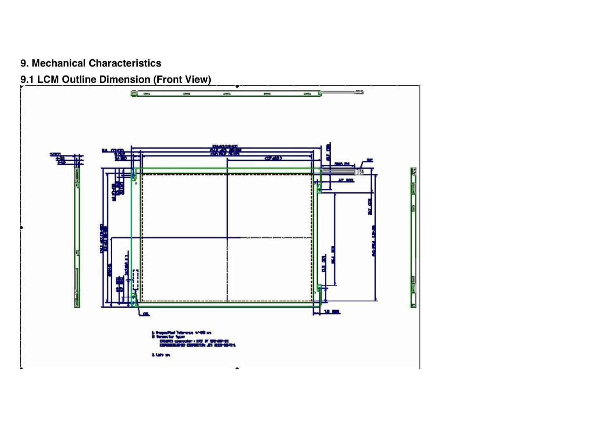## **9. Mechanical Characteristics**

## **9.1 LCM Outline Dimension (Front View)**

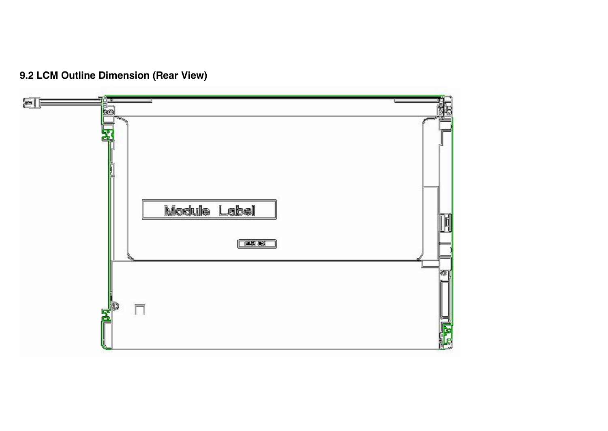

**9.2 LCM Outline Dimension (Rear View)**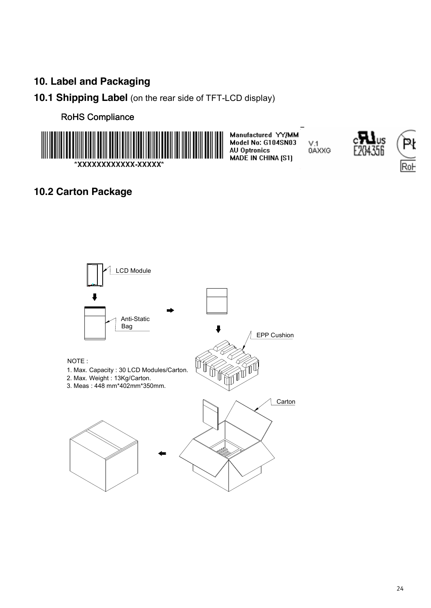## **10. Label and Packaging**

## **10.1 Shipping Label** (on the rear side of TFT-LCD display)

#### RoHS Compliance



Manufactured YY/MM Model No: G104SN03<br>AU Optronics  $V.1$ 0AXXG MADE IN CHINA [S1]



## **10.2 Carton Package**